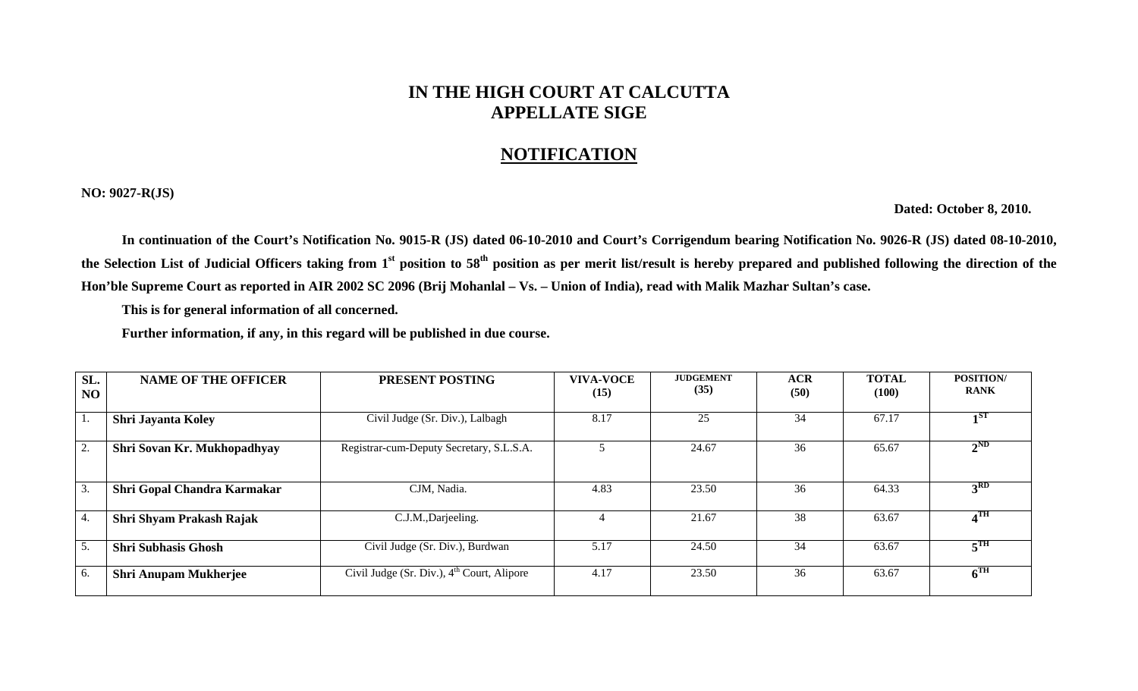## **IN THE HIGH COURT AT CALCUTTA APPELLATE SIGE**

## **NOTIFICATION**

**NO: 9027-R(JS)** 

 **Dated: October 8, 2010.** 

 **In continuation of the Court's Notification No. 9015-R (JS) dated 06-10-2010 and Court's Corrigendum bearing Notification No. 9026-R (JS) dated 08-10-2010,**  the Selection List of Judicial Officers taking from 1<sup>st</sup> position to 58<sup>th</sup> position as per merit list/result is hereby prepared and published following the direction of the **Hon'ble Supreme Court as reported in AIR 2002 SC 2096 (Brij Mohanlal – Vs. – Union of India), read with Malik Mazhar Sultan's case.** 

**This is for general information of all concerned.** 

**Further information, if any, in this regard will be published in due course.** 

| SL.<br>N <sub>O</sub> | <b>NAME OF THE OFFICER</b>   | <b>PRESENT POSTING</b>                                 | <b>VIVA-VOCE</b><br>(15) | <b>JUDGEMENT</b><br>(35) | <b>ACR</b><br>(50) | <b>TOTAL</b><br>(100) | <b>POSITION/</b><br><b>RANK</b> |
|-----------------------|------------------------------|--------------------------------------------------------|--------------------------|--------------------------|--------------------|-----------------------|---------------------------------|
| 1.                    | <b>Shri Jayanta Koley</b>    | Civil Judge (Sr. Div.), Lalbagh                        | 8.17                     | 25                       | 34                 | 67.17                 | $\mathbf{1}$ ST                 |
| 2.                    | Shri Sovan Kr. Mukhopadhyay  | Registrar-cum-Deputy Secretary, S.L.S.A.               |                          | 24.67                    | 36                 | 65.67                 | $2^{ND}$                        |
| 3.                    | Shri Gopal Chandra Karmakar  | CJM, Nadia.                                            | 4.83                     | 23.50                    | 36                 | 64.33                 | 3 <sup>RD</sup>                 |
| 4.                    | Shri Shyam Prakash Rajak     | C.J.M., Darjeeling.                                    |                          | 21.67                    | 38                 | 63.67                 | 4 <sup>TH</sup>                 |
| 5.                    | <b>Shri Subhasis Ghosh</b>   | Civil Judge (Sr. Div.), Burdwan                        | 5.17                     | 24.50                    | 34                 | 63.67                 | $E_{\rm T}$                     |
| 6.                    | <b>Shri Anupam Mukherjee</b> | Civil Judge (Sr. Div.), 4 <sup>th</sup> Court, Alipore | 4.17                     | 23.50                    | 36                 | 63.67                 | 6 <sup>TH</sup>                 |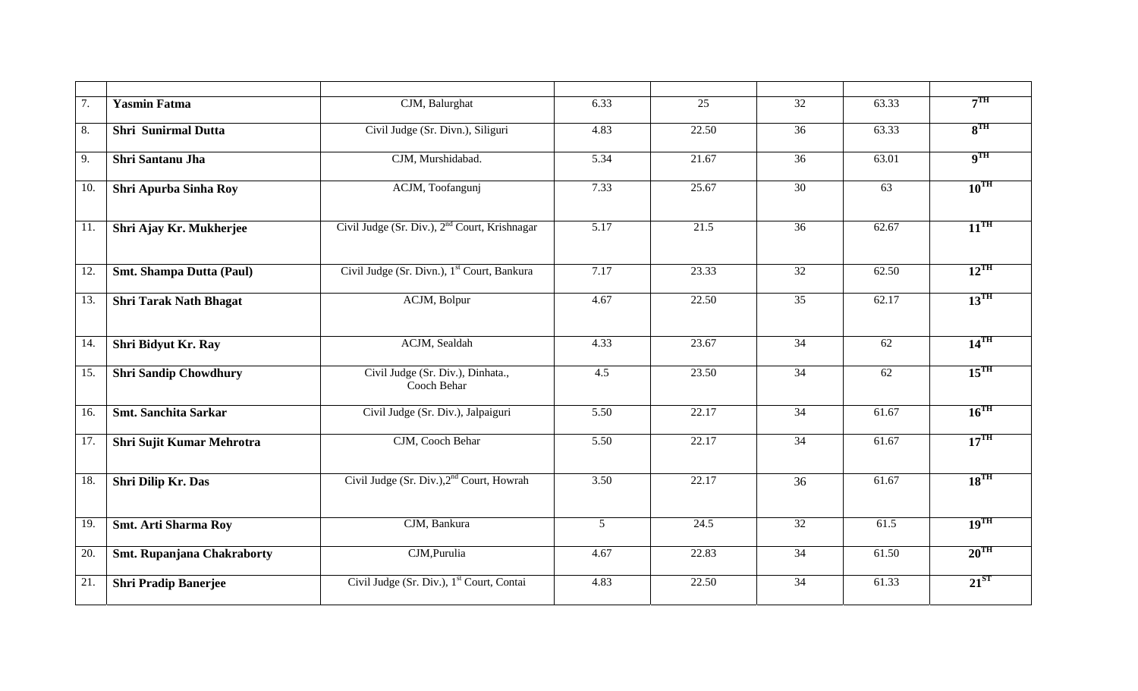| 7.  | <b>Yasmin Fatma</b>             | CJM, Balurghat                                            | 6.33             | $\overline{25}$ | $\overline{32}$ | 63.33           | 7 <sup>TH</sup>          |
|-----|---------------------------------|-----------------------------------------------------------|------------------|-----------------|-----------------|-----------------|--------------------------|
| 8.  | <b>Shri Sunirmal Dutta</b>      | Civil Judge (Sr. Divn.), Siliguri                         | 4.83             | 22.50           | 36              | 63.33           | 8 <sup>TH</sup>          |
| 9.  | Shri Santanu Jha                | CJM, Murshidabad.                                         | 5.34             | 21.67           | $\overline{36}$ | 63.01           | $\mathbf{q}^{\text{TH}}$ |
| 10. | Shri Apurba Sinha Roy           | ACJM, Toofangunj                                          | 7.33             | 25.67           | 30              | 63              | $10^{\text{TH}}$         |
| 11. | Shri Ajay Kr. Mukherjee         | Civil Judge (Sr. Div.), 2 <sup>nd</sup> Court, Krishnagar | 5.17             | 21.5            | $\overline{36}$ | 62.67           | $11^{\text{TH}}$         |
| 12. | <b>Smt. Shampa Dutta (Paul)</b> | Civil Judge (Sr. Divn.), 1 <sup>st</sup> Court, Bankura   | 7.17             | 23.33           | 32              | 62.50           | $12^{\text{TH}}$         |
| 13. | <b>Shri Tarak Nath Bhagat</b>   | ACJM, Bolpur                                              | 4.67             | 22.50           | 35              | 62.17           | $13^{\text{TH}}$         |
| 14. | Shri Bidyut Kr. Ray             | ACJM, Sealdah                                             | 4.33             | 23.67           | 34              | 62              | $14^{\text{TH}}$         |
| 15. | <b>Shri Sandip Chowdhury</b>    | Civil Judge (Sr. Div.), Dinhata.,<br>Cooch Behar          | $\overline{4.5}$ | 23.50           | $\overline{34}$ | $\overline{62}$ | $15^{\text{TH}}$         |
| 16. | <b>Smt. Sanchita Sarkar</b>     | Civil Judge (Sr. Div.), Jalpaiguri                        | 5.50             | 22.17           | 34              | 61.67           | $16^{\text{TH}}$         |
| 17. | Shri Sujit Kumar Mehrotra       | CJM, Cooch Behar                                          | 5.50             | 22.17           | $\overline{34}$ | 61.67           | $17^{\text{TH}}$         |
| 18. | <b>Shri Dilip Kr. Das</b>       | Civil Judge (Sr. Div.), 2 <sup>nd</sup> Court, Howrah     | 3.50             | 22.17           | 36              | 61.67           | $18^{TH}$                |
| 19. | <b>Smt. Arti Sharma Roy</b>     | CJM, Bankura                                              | $5\overline{)}$  | 24.5            | 32              | 61.5            | $19^{TH}$                |
| 20. | Smt. Rupanjana Chakraborty      | CJM, Purulia                                              | 4.67             | 22.83           | 34              | 61.50           | $20^{\text{TH}}$         |
| 21. | <b>Shri Pradip Banerjee</b>     | Civil Judge (Sr. Div.), 1 <sup>st</sup> Court, Contai     | 4.83             | 22.50           | 34              | 61.33           | $21^{ST}$                |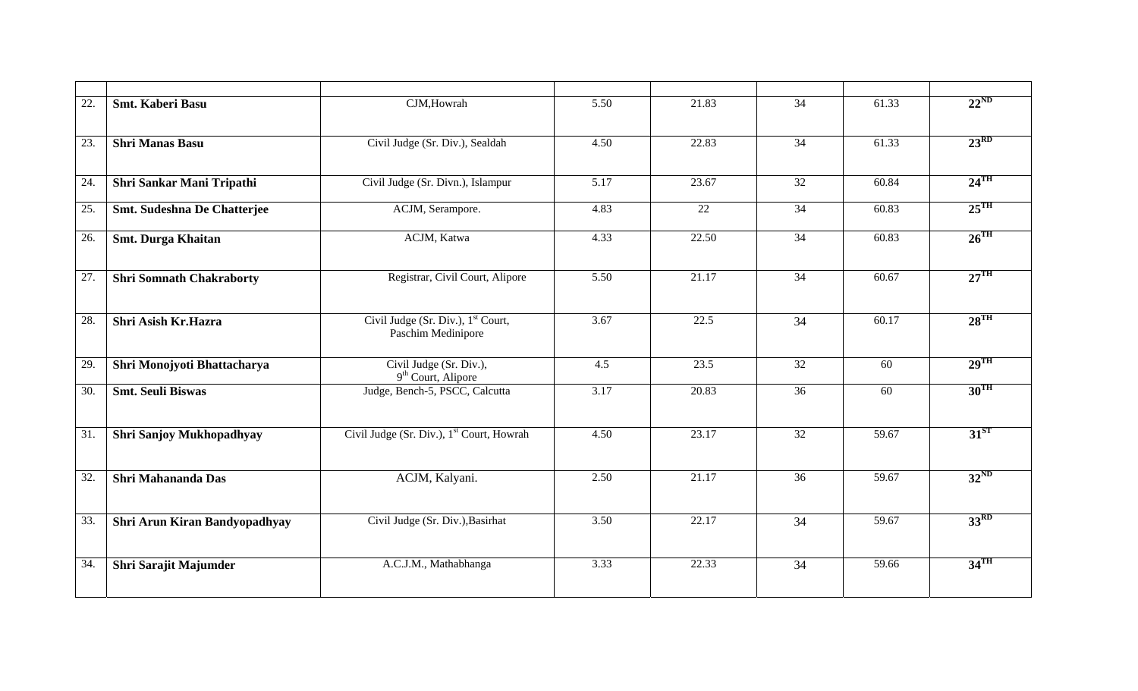| 22. | <b>Smt. Kaberi Basu</b>         | CJM, Howrah                                                          | 5.50             | 21.83             | $\overline{34}$ | 61.33 | $22^{ND}$          |
|-----|---------------------------------|----------------------------------------------------------------------|------------------|-------------------|-----------------|-------|--------------------|
| 23. | <b>Shri Manas Basu</b>          | Civil Judge (Sr. Div.), Sealdah                                      | 4.50             | 22.83             | 34              | 61.33 | $23^{RD}$          |
| 24. | Shri Sankar Mani Tripathi       | Civil Judge (Sr. Divn.), Islampur                                    | 5.17             | 23.67             | 32              | 60.84 | $24$ <sup>TH</sup> |
| 25. | Smt. Sudeshna De Chatterjee     | ACJM, Serampore.                                                     | 4.83             | $\overline{22}$   | $\overline{34}$ | 60.83 | $25^{\text{TH}}$   |
| 26. | <b>Smt. Durga Khaitan</b>       | ACJM, Katwa                                                          | 4.33             | 22.50             | 34              | 60.83 | $26$ <sup>TH</sup> |
| 27. | <b>Shri Somnath Chakraborty</b> | Registrar, Civil Court, Alipore                                      | 5.50             | 21.17             | $\overline{34}$ | 60.67 | $27^{\text{TH}}$   |
| 28. | Shri Asish Kr.Hazra             | Civil Judge (Sr. Div.), 1 <sup>st</sup> Court,<br>Paschim Medinipore | 3.67             | $\overline{22.5}$ | $\overline{34}$ | 60.17 | $28$ <sup>TH</sup> |
| 29. | Shri Monojyoti Bhattacharya     | Civil Judge (Sr. Div.),<br>9 <sup>th</sup> Court, Alipore            | $\overline{4.5}$ | 23.5              | $\overline{32}$ | 60    | $29$ <sup>TH</sup> |
| 30. | <b>Smt. Seuli Biswas</b>        | Judge, Bench-5, PSCC, Calcutta                                       | 3.17             | 20.83             | 36              | 60    | $30^{\text{TH}}$   |
| 31. | Shri Sanjoy Mukhopadhyay        | Civil Judge (Sr. Div.), 1 <sup>st</sup> Court, Howrah                | 4.50             | 23.17             | 32              | 59.67 | $31^{ST}$          |
| 32. | <b>Shri Mahananda Das</b>       | ACJM, Kalyani.                                                       | 2.50             | 21.17             | 36              | 59.67 | $32^{ND}$          |
| 33. | Shri Arun Kiran Bandyopadhyay   | Civil Judge (Sr. Div.), Basirhat                                     | 3.50             | 22.17             | 34              | 59.67 | 33 <sup>RD</sup>   |
| 34. | Shri Sarajit Majumder           | A.C.J.M., Mathabhanga                                                | 3.33             | 22.33             | 34              | 59.66 | $34$ <sup>TH</sup> |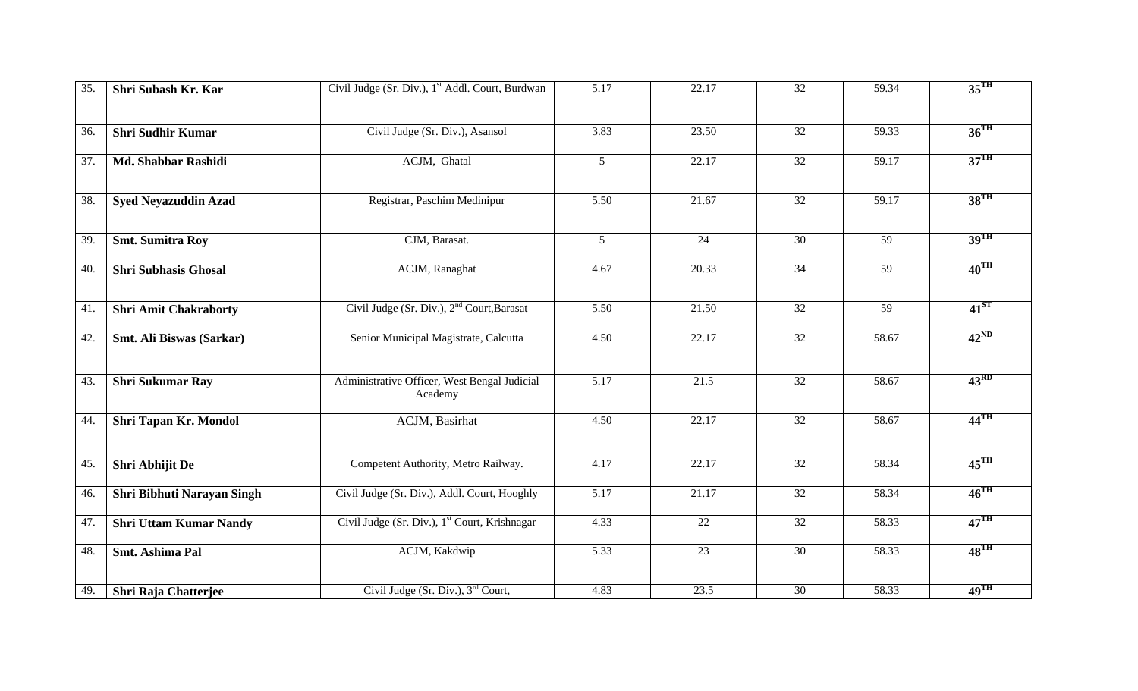| $\overline{35}$ | Shri Subash Kr. Kar           | Civil Judge (Sr. Div.), 1 <sup>st</sup> Addl. Court, Burdwan | 5.17            | 22.17             | $\overline{32}$ | 59.34           | 35 <sup>TH</sup>   |
|-----------------|-------------------------------|--------------------------------------------------------------|-----------------|-------------------|-----------------|-----------------|--------------------|
| 36.             | <b>Shri Sudhir Kumar</b>      | Civil Judge (Sr. Div.), Asansol                              | 3.83            | 23.50             | 32              | 59.33           | $36$ <sup>TH</sup> |
| 37.             | Md. Shabbar Rashidi           | ACJM, Ghatal                                                 | $5\overline{)}$ | 22.17             | $\overline{32}$ | 59.17           | 37 <sup>TH</sup>   |
| 38.             | <b>Syed Neyazuddin Azad</b>   | Registrar, Paschim Medinipur                                 | 5.50            | 21.67             | $\overline{32}$ | 59.17           | $38^{\text{TH}}$   |
| 39.             | <b>Smt. Sumitra Roy</b>       | CJM, Barasat.                                                | $\overline{5}$  | $\overline{24}$   | $\overline{30}$ | $\overline{59}$ | $39$ <sup>TH</sup> |
| 40.             | <b>Shri Subhasis Ghosal</b>   | ACJM, Ranaghat                                               | 4.67            | 20.33             | 34              | 59              | $40^{\text{TH}}$   |
| 41.             | <b>Shri Amit Chakraborty</b>  | Civil Judge (Sr. Div.), 2 <sup>nd</sup> Court, Barasat       | 5.50            | 21.50             | 32              | $\overline{59}$ | $41^{ST}$          |
| 42.             | Smt. Ali Biswas (Sarkar)      | Senior Municipal Magistrate, Calcutta                        | 4.50            | 22.17             | $\overline{32}$ | 58.67           | $42^{\text{ND}}$   |
| 43.             | <b>Shri Sukumar Ray</b>       | Administrative Officer, West Bengal Judicial<br>Academy      | 5.17            | $\overline{21.5}$ | $\overline{32}$ | 58.67           | 43 <sup>RD</sup>   |
| 44.             | Shri Tapan Kr. Mondol         | ACJM, Basirhat                                               | 4.50            | 22.17             | 32              | 58.67           | $44^{\text{TH}}$   |
| 45.             | Shri Abhijit De               | Competent Authority, Metro Railway.                          | 4.17            | 22.17             | 32              | 58.34           | $45^{\text{TH}}$   |
| 46.             | Shri Bibhuti Narayan Singh    | Civil Judge (Sr. Div.), Addl. Court, Hooghly                 | 5.17            | 21.17             | 32              | 58.34           | $46^{\text{TH}}$   |
| 47.             | <b>Shri Uttam Kumar Nandy</b> | Civil Judge (Sr. Div.), 1 <sup>st</sup> Court, Krishnagar    | 4.33            | 22                | 32              | 58.33           | $47^{\text{TH}}$   |
| 48.             | <b>Smt. Ashima Pal</b>        | ACJM, Kakdwip                                                | 5.33            | 23                | 30              | 58.33           | $48^{\text{TH}}$   |
| 49.             | <b>Shri Raja Chatterjee</b>   | Civil Judge (Sr. Div.), 3 <sup>rd</sup> Court,               | 4.83            | 23.5              | 30              | 58.33           | $49^{\text{TH}}$   |